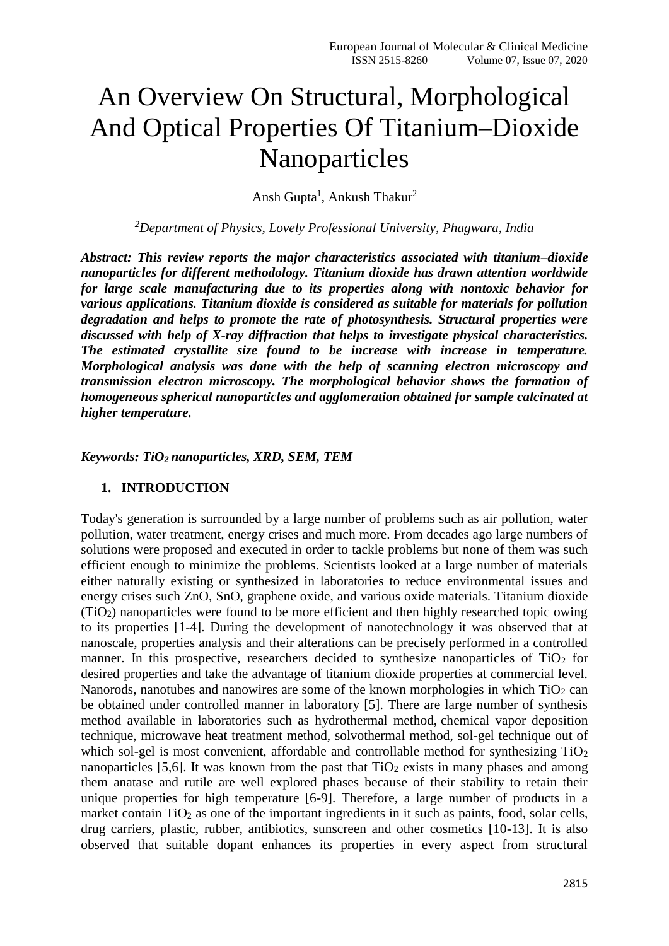# An Overview On Structural, Morphological And Optical Properties Of Titanium–Dioxide Nanoparticles

Ansh Gupta<sup>1</sup>, Ankush Thakur<sup>2</sup>

*<sup>2</sup>Department of Physics, Lovely Professional University, Phagwara, India*

*Abstract: This review reports the major characteristics associated with titanium–dioxide nanoparticles for different methodology. Titanium dioxide has drawn attention worldwide for large scale manufacturing due to its properties along with nontoxic behavior for various applications. Titanium dioxide is considered as suitable for materials for pollution degradation and helps to promote the rate of photosynthesis. Structural properties were discussed with help of X-ray diffraction that helps to investigate physical characteristics. The estimated crystallite size found to be increase with increase in temperature. Morphological analysis was done with the help of scanning electron microscopy and transmission electron microscopy. The morphological behavior shows the formation of homogeneous spherical nanoparticles and agglomeration obtained for sample calcinated at higher temperature.* 

*Keywords: TiO2 nanoparticles, XRD, SEM, TEM*

#### **1. INTRODUCTION**

Today's generation is surrounded by a large number of problems such as air pollution, water pollution, water treatment, energy crises and much more. From decades ago large numbers of solutions were proposed and executed in order to tackle problems but none of them was such efficient enough to minimize the problems. Scientists looked at a large number of materials either naturally existing or synthesized in laboratories to reduce environmental issues and energy crises such ZnO, SnO, graphene oxide, and various oxide materials. Titanium dioxide (TiO2) nanoparticles were found to be more efficient and then highly researched topic owing to its properties [1-4]. During the development of nanotechnology it was observed that at nanoscale, properties analysis and their alterations can be precisely performed in a controlled manner. In this prospective, researchers decided to synthesize nanoparticles of  $TiO<sub>2</sub>$  for desired properties and take the advantage of titanium dioxide properties at commercial level. Nanorods, nanotubes and nanowires are some of the known morphologies in which  $TiO<sub>2</sub>$  can be obtained under controlled manner in laboratory [5]. There are large number of synthesis method available in laboratories such as hydrothermal method, chemical vapor deposition technique, microwave heat treatment method, solvothermal method, sol-gel technique out of which sol-gel is most convenient, affordable and controllable method for synthesizing  $TiO<sub>2</sub>$ nanoparticles [5,6]. It was known from the past that  $TiO<sub>2</sub>$  exists in many phases and among them anatase and rutile are well explored phases because of their stability to retain their unique properties for high temperature [6-9]. Therefore, a large number of products in a market contain  $TiO<sub>2</sub>$  as one of the important ingredients in it such as paints, food, solar cells, drug carriers, plastic, rubber, antibiotics, sunscreen and other cosmetics [10-13]. It is also observed that suitable dopant enhances its properties in every aspect from structural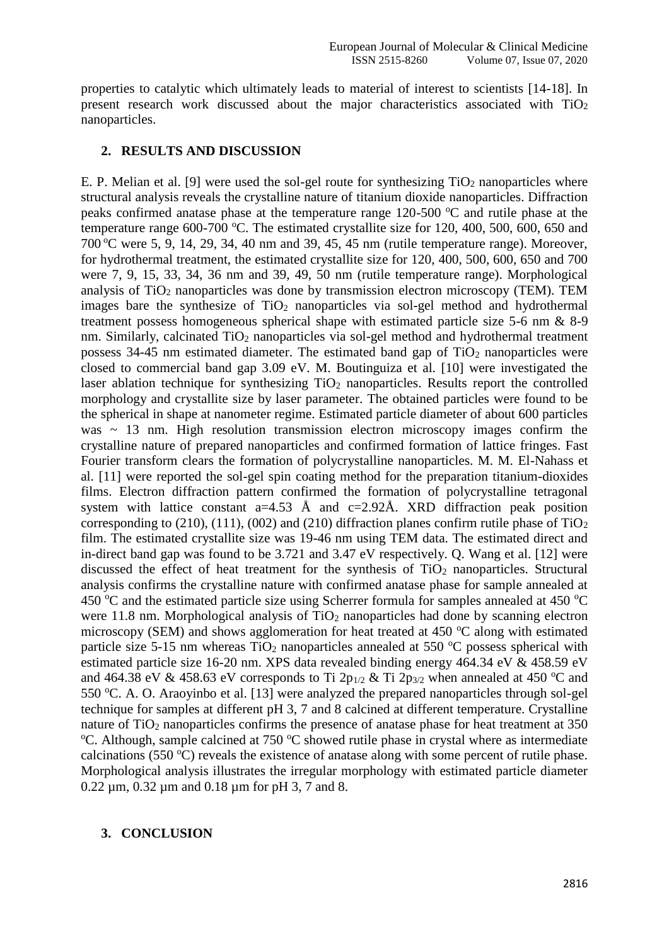properties to catalytic which ultimately leads to material of interest to scientists [14-18]. In present research work discussed about the major characteristics associated with TiO<sup>2</sup> nanoparticles.

### **2. RESULTS AND DISCUSSION**

E. P. Melian et al. [9] were used the sol-gel route for synthesizing  $TiO<sub>2</sub>$  nanoparticles where structural analysis reveals the crystalline nature of titanium dioxide nanoparticles. Diffraction peaks confirmed anatase phase at the temperature range  $120-500$  °C and rutile phase at the temperature range 600-700 °C. The estimated crystallite size for 120, 400, 500, 600, 650 and  $700\text{ °C}$  were 5, 9, 14, 29, 34, 40 nm and 39, 45, 45 nm (rutile temperature range). Moreover, for hydrothermal treatment, the estimated crystallite size for 120, 400, 500, 600, 650 and 700 were 7, 9, 15, 33, 34, 36 nm and 39, 49, 50 nm (rutile temperature range). Morphological analysis of TiO<sup>2</sup> nanoparticles was done by transmission electron microscopy (TEM). TEM images bare the synthesize of  $TiO<sub>2</sub>$  nanoparticles via sol-gel method and hydrothermal treatment possess homogeneous spherical shape with estimated particle size 5-6 nm & 8-9 nm. Similarly, calcinated  $TiO<sub>2</sub>$  nanoparticles via sol-gel method and hydrothermal treatment possess  $34-45$  nm estimated diameter. The estimated band gap of TiO<sub>2</sub> nanoparticles were closed to commercial band gap 3.09 eV. M. Boutinguiza et al. [10] were investigated the laser ablation technique for synthesizing  $TiO<sub>2</sub>$  nanoparticles. Results report the controlled morphology and crystallite size by laser parameter. The obtained particles were found to be the spherical in shape at nanometer regime. Estimated particle diameter of about 600 particles was  $\sim$  13 nm. High resolution transmission electron microscopy images confirm the crystalline nature of prepared nanoparticles and confirmed formation of lattice fringes. Fast Fourier transform clears the formation of polycrystalline nanoparticles. M. M. El-Nahass et al. [11] were reported the sol-gel spin coating method for the preparation titanium-dioxides films. Electron diffraction pattern confirmed the formation of polycrystalline tetragonal system with lattice constant  $a=4.53$  Å and  $c=2.92\text{\AA}$ . XRD diffraction peak position corresponding to (210), (111), (002) and (210) diffraction planes confirm rutile phase of TiO<sub>2</sub> film. The estimated crystallite size was 19-46 nm using TEM data. The estimated direct and in-direct band gap was found to be 3.721 and 3.47 eV respectively. Q. Wang et al. [12] were discussed the effect of heat treatment for the synthesis of  $TiO<sub>2</sub>$  nanoparticles. Structural analysis confirms the crystalline nature with confirmed anatase phase for sample annealed at 450  $\degree$ C and the estimated particle size using Scherrer formula for samples annealed at 450  $\degree$ C were 11.8 nm. Morphological analysis of  $TiO<sub>2</sub>$  nanoparticles had done by scanning electron microscopy (SEM) and shows agglomeration for heat treated at  $450^{\circ}$ C along with estimated particle size 5-15 nm whereas  $TiO<sub>2</sub>$  nanoparticles annealed at 550  $^{\circ}$ C possess spherical with estimated particle size 16-20 nm. XPS data revealed binding energy 464.34 eV & 458.59 eV and 464.38 eV & 458.63 eV corresponds to Ti  $2p_{1/2}$  & Ti  $2p_{3/2}$  when annealed at 450 °C and 550 °C. A. O. Araovinbo et al. [13] were analyzed the prepared nanoparticles through sol-gel technique for samples at different pH 3, 7 and 8 calcined at different temperature. Crystalline nature of  $TiO<sub>2</sub>$  nanoparticles confirms the presence of anatase phase for heat treatment at 350  $\rm{^{\circ}C}$ . Although, sample calcined at 750  $\rm{^{\circ}C}$  showed rutile phase in crystal where as intermediate calcinations (550  $^{\circ}$ C) reveals the existence of anatase along with some percent of rutile phase. Morphological analysis illustrates the irregular morphology with estimated particle diameter 0.22 µm, 0.32 µm and 0.18 µm for pH 3, 7 and 8.

### **3. CONCLUSION**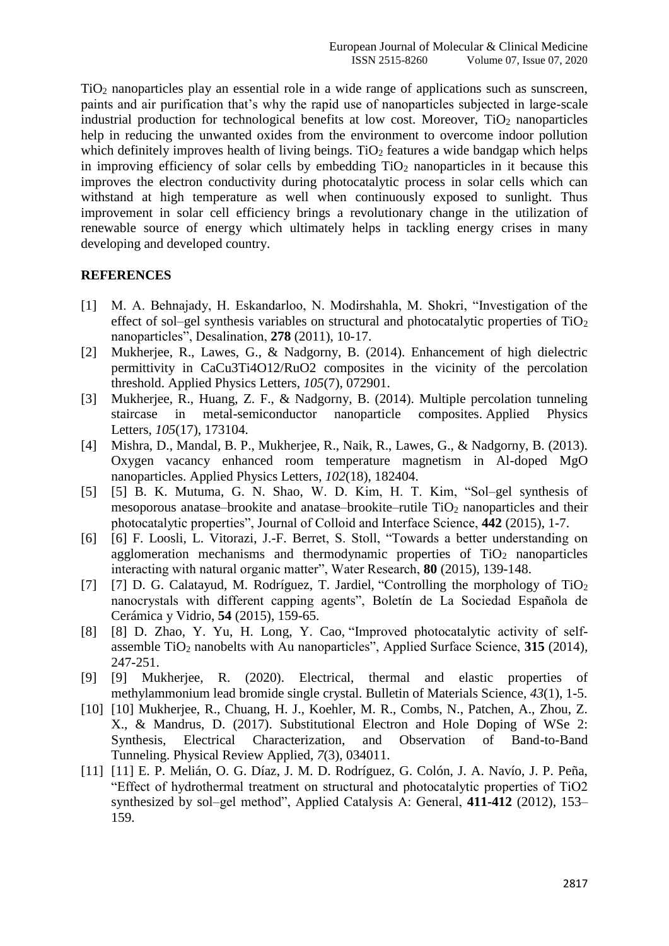TiO<sup>2</sup> nanoparticles play an essential role in a wide range of applications such as sunscreen, paints and air purification that's why the rapid use of nanoparticles subjected in large-scale industrial production for technological benefits at low cost. Moreover,  $TiO<sub>2</sub>$  nanoparticles help in reducing the unwanted oxides from the environment to overcome indoor pollution which definitely improves health of living beings. TiO<sub>2</sub> features a wide bandgap which helps in improving efficiency of solar cells by embedding  $TiO<sub>2</sub>$  nanoparticles in it because this improves the electron conductivity during photocatalytic process in solar cells which can withstand at high temperature as well when continuously exposed to sunlight. Thus improvement in solar cell efficiency brings a revolutionary change in the utilization of renewable source of energy which ultimately helps in tackling energy crises in many developing and developed country.

## **REFERENCES**

- [1] M. A. Behnajady, H. Eskandarloo, N. Modirshahla, M. Shokri, "Investigation of the effect of sol–gel synthesis variables on structural and photocatalytic properties of  $TiO<sub>2</sub>$ nanoparticles", Desalination, **278** (2011), 10-17.
- [2] Mukherjee, R., Lawes, G., & Nadgorny, B. (2014). Enhancement of high dielectric permittivity in CaCu3Ti4O12/RuO2 composites in the vicinity of the percolation threshold. Applied Physics Letters, *105*(7), 072901.
- [3] Mukherjee, R., Huang, Z. F., & Nadgorny, B. (2014). Multiple percolation tunneling staircase in metal-semiconductor nanoparticle composites. Applied Physics Letters, *105*(17), 173104.
- [4] Mishra, D., Mandal, B. P., Mukherjee, R., Naik, R., Lawes, G., & Nadgorny, B. (2013). Oxygen vacancy enhanced room temperature magnetism in Al-doped MgO nanoparticles. Applied Physics Letters, *102*(18), 182404.
- [5] [5] B. K. Mutuma, G. N. Shao, W. D. Kim, H. T. Kim, "Sol–gel synthesis of mesoporous anatase–brookite and anatase–brookite–rutile  $TiO<sub>2</sub>$  nanoparticles and their photocatalytic properties", Journal of Colloid and Interface Science, **442** (2015), 1-7.
- [6] [6] F. Loosli, L. Vitorazi, J.-F. Berret, S. Stoll, "Towards a better understanding on agglomeration mechanisms and thermodynamic properties of  $TiO<sub>2</sub>$  nanoparticles interacting with natural organic matter", Water Research, **80** (2015), 139-148.
- [7] [7] D. G. Calatayud, M. Rodríguez, T. Jardiel, "Controlling the morphology of  $TiO<sub>2</sub>$ nanocrystals with different capping agents", Boletín de La Sociedad Española de Cerámica y Vidrio, **54** (2015), 159-65.
- [8] [8] D. Zhao, Y. Yu, H. Long, Y. Cao, "Improved photocatalytic activity of selfassemble TiO<sup>2</sup> nanobelts with Au nanoparticles", Applied Surface Science, **315** (2014), 247-251.
- [9] [9] Mukherjee, R. (2020). Electrical, thermal and elastic properties of methylammonium lead bromide single crystal. Bulletin of Materials Science, *43*(1), 1-5.
- [10] [10] Mukherjee, R., Chuang, H. J., Koehler, M. R., Combs, N., Patchen, A., Zhou, Z. X., & Mandrus, D. (2017). Substitutional Electron and Hole Doping of WSe 2: Synthesis, Electrical Characterization, and Observation of Band-to-Band Tunneling. Physical Review Applied, *7*(3), 034011.
- [11] [11] E. P. Melián, O. G. Díaz, J. M. D. Rodríguez, G. Colón, J. A. Navío, J. P. Peña, "Effect of hydrothermal treatment on structural and photocatalytic properties of TiO2 synthesized by sol–gel method", Applied Catalysis A: General, **411-412** (2012), 153– 159.